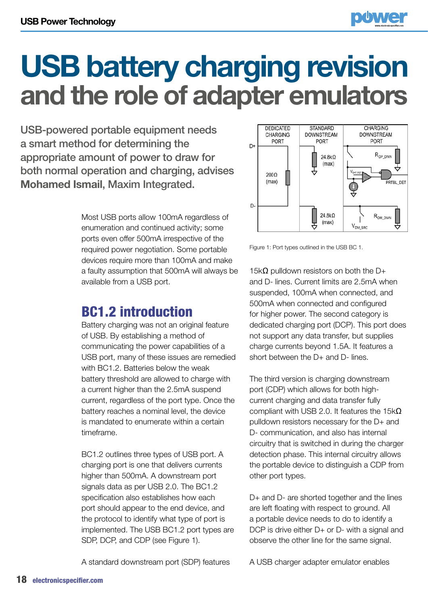

USB-powered portable equipment needs a smart method for determining the appropriate amount of power to draw for both normal operation and charging, advises **Mohamed Ismail**, Maxim Integrated.

> Most USB ports allow 100mA regardless of enumeration and continued activity; some ports even offer 500mA irrespective of the required power negotiation. Some portable devices require more than 100mA and make a faulty assumption that 500mA will always be available from a USB port.

## BC1.2 introduction

Battery charging was not an original feature of USB. By establishing a method of communicating the power capabilities of a USB port, many of these issues are remedied with BC1.2. Batteries below the weak battery threshold are allowed to charge with a current higher than the 2.5mA suspend current, regardless of the port type. Once the battery reaches a nominal level, the device is mandated to enumerate within a certain timeframe.

BC1.2 outlines three types of USB port. A charging port is one that delivers currents higher than 500mA. A downstream port signals data as per USB 2.0. The BC1.2 specification also establishes how each port should appear to the end device, and the protocol to identify what type of port is implemented. The USB BC1.2 port types are SDP, DCP, and CDP (see Figure 1).

A standard downstream port (SDP) features



Figure 1: Port types outlined in the USB BC 1.

15k $\Omega$  pulldown resistors on both the D+ and D- lines. Current limits are 2.5mA when suspended, 100mA when connected, and 500mA when connected and configured for higher power. The second category is dedicated charging port (DCP). This port does not support any data transfer, but supplies charge currents beyond 1.5A. It features a short between the D+ and D- lines.

The third version is charging downstream port (CDP) which allows for both highcurrent charging and data transfer fully compliant with USB 2.0. It features the 15kΩ pulldown resistors necessary for the D+ and D- communication, and also has internal circuitry that is switched in during the charger detection phase. This internal circuitry allows the portable device to distinguish a CDP from other port types.

D+ and D- are shorted together and the lines are left floating with respect to ground. All a portable device needs to do to identify a DCP is drive either D+ or D- with a signal and observe the other line for the same signal.

A USB charger adapter emulator enables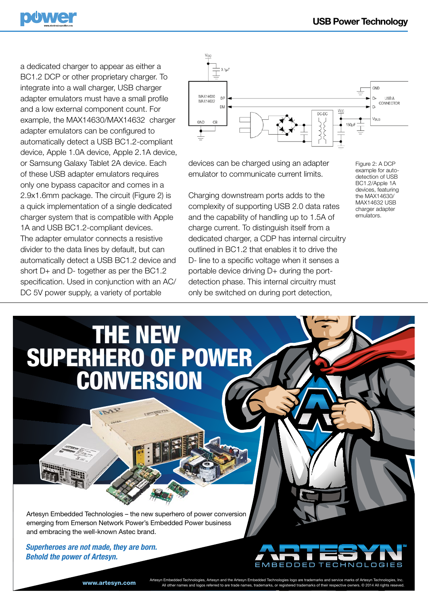

a dedicated charger to appear as either a BC1.2 DCP or other proprietary charger. To integrate into a wall charger, USB charger adapter emulators must have a small profile and a low external component count. For example, the MAX14630/MAX14632 charger adapter emulators can be configured to automatically detect a USB BC1.2-compliant device, Apple 1.0A device, Apple 2.1A device, or Samsung Galaxy Tablet 2A device. Each of these USB adapter emulators requires only one bypass capacitor and comes in a 2.9x1.6mm package. The circuit (Figure 2) is a quick implementation of a single dedicated charger system that is compatible with Apple 1A and USB BC1.2-compliant devices. The adapter emulator connects a resistive divider to the data lines by default, but can automatically detect a USB BC1.2 device and short D+ and D- together as per the BC1.2 specification. Used in conjunction with an AC/ DC 5V power supply, a variety of portable



devices can be charged using an adapter emulator to communicate current limits.

Charging downstream ports adds to the complexity of supporting USB 2.0 data rates and the capability of handling up to 1.5A of charge current. To distinguish itself from a dedicated charger, a CDP has internal circuitry outlined in BC1.2 that enables it to drive the D- line to a specific voltage when it senses a portable device driving D+ during the portdetection phase. This internal circuitry must only be switched on during port detection,

Figure 2: A DCP example for autodetection of USB BC1.2/Apple 1A devices, featuring the MAX14630/ MAX14632 USB charger adapter emulators.



Artesyn Embedded Technologies – the new superhero of power conversion emerging from Emerson Network Power's Embedded Power business and embracing the well-known Astec brand.

Superheroes are not made, they are born. Behold the power of Artesyn.



Artesyn Embedded Technologies, Artesyn and the Artesyn Embedded Technologies logo are trademarks and service marks of Artesyn Technologies, Inc.<br>All other names and logos referred to are trade names, trademarks, or registe